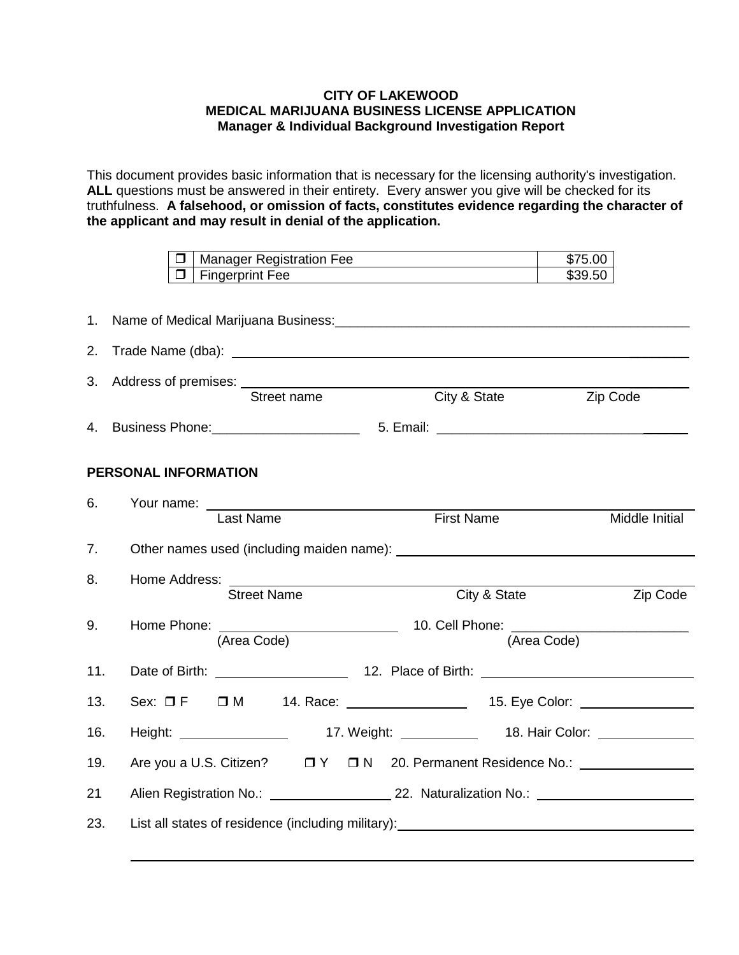## **CITY OF LAKEWOOD MEDICAL MARIJUANA BUSINESS LICENSE APPLICATION Manager & Individual Background Investigation Report**

This document provides basic information that is necessary for the licensing authority's investigation. **ALL** questions must be answered in their entirety. Every answer you give will be checked for its truthfulness. **A falsehood, or omission of facts, constitutes evidence regarding the character of the applicant and may result in denial of the application.**

|     | \$75.00<br>Manager Registration Fee<br>\$39.50<br><b>Fingerprint Fee</b><br>□    |          |
|-----|----------------------------------------------------------------------------------|----------|
|     |                                                                                  |          |
| 2.  |                                                                                  |          |
|     | 3. Address of premises: Street name<br>City & State<br>Zip Code                  |          |
|     |                                                                                  |          |
|     | PERSONAL INFORMATION                                                             |          |
| 6.  | Your name: _________<br>Last Name<br><b>First Name</b><br>Middle Initial         |          |
| 7.  |                                                                                  |          |
| 8.  | City & State<br><b>Street Name</b>                                               | Zip Code |
| 9.  | (Area Code)<br>(Area Code)                                                       |          |
| 11. |                                                                                  |          |
| 13. | Sex: □ F □ M 14. Race: _________________ 15. Eye Color: _______________________  |          |
| 16. |                                                                                  |          |
| 19. | Are you a U.S. Citizen? □ Y □ N 20. Permanent Residence No.: ___________________ |          |
| 21  |                                                                                  |          |
| 23. | List all states of residence (including military): _____________________________ |          |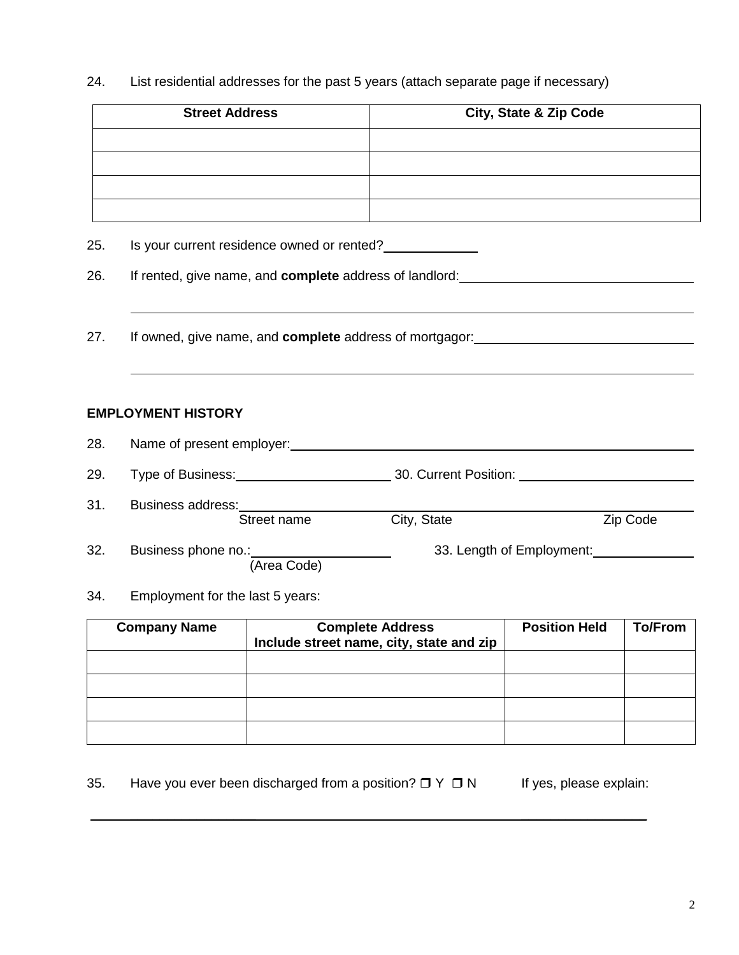24. List residential addresses for the past 5 years (attach separate page if necessary)

| <b>Street Address</b>                                        |                                                                                                          | <b>City, State &amp; Zip Code</b> |
|--------------------------------------------------------------|----------------------------------------------------------------------------------------------------------|-----------------------------------|
|                                                              |                                                                                                          |                                   |
|                                                              |                                                                                                          |                                   |
|                                                              |                                                                                                          |                                   |
|                                                              |                                                                                                          |                                   |
| Is your current residence owned or rented?                   |                                                                                                          |                                   |
|                                                              | If rented, give name, and complete address of landlord: ________________________                         |                                   |
|                                                              |                                                                                                          |                                   |
|                                                              |                                                                                                          |                                   |
|                                                              | If owned, give name, and complete address of mortgagor:<br><u>notation</u> and the address of mortgagor: |                                   |
|                                                              |                                                                                                          |                                   |
|                                                              |                                                                                                          |                                   |
|                                                              |                                                                                                          |                                   |
| <b>EMPLOYMENT HISTORY</b>                                    |                                                                                                          |                                   |
|                                                              | Name of present employer: Name of present employer:                                                      |                                   |
|                                                              |                                                                                                          |                                   |
|                                                              |                                                                                                          |                                   |
| Business address:<br><u>Business address:</u><br>Street name | City, State                                                                                              | Zip Code                          |
|                                                              |                                                                                                          |                                   |
| Business phone no.: _________                                |                                                                                                          |                                   |
|                                                              |                                                                                                          |                                   |
| (Area Code)                                                  |                                                                                                          |                                   |

| <b>Company Name</b> | <b>Complete Address</b><br>Include street name, city, state and zip | <b>Position Held</b> | <b>To/From</b> |
|---------------------|---------------------------------------------------------------------|----------------------|----------------|
|                     |                                                                     |                      |                |
|                     |                                                                     |                      |                |
|                     |                                                                     |                      |                |
|                     |                                                                     |                      |                |

35. Have you ever been discharged from a position?  $\Box Y \Box N$  If yes, please explain:

 $\mathcal{L}_\text{max}$  , and the contract of the contract of the contract of the contract of the contract of the contract of the contract of the contract of the contract of the contract of the contract of the contract of the contr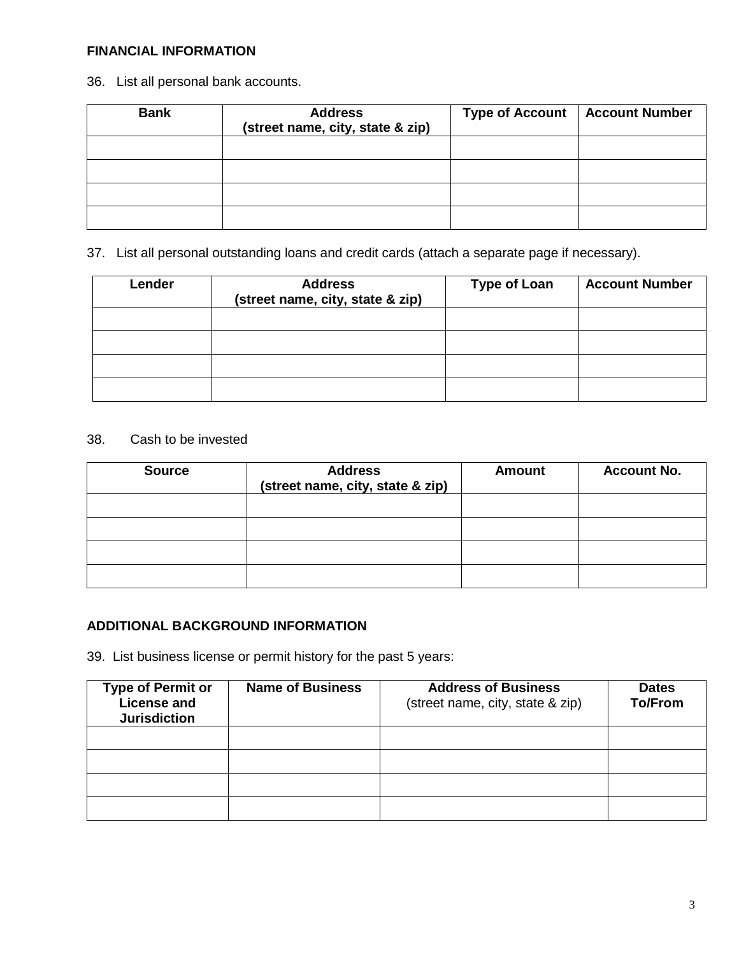## **FINANCIAL INFORMATION**

36. List all personal bank accounts.

| <b>Bank</b> | <b>Address</b><br>(street name, city, state & zip) | <b>Type of Account</b> | <b>Account Number</b> |
|-------------|----------------------------------------------------|------------------------|-----------------------|
|             |                                                    |                        |                       |
|             |                                                    |                        |                       |
|             |                                                    |                        |                       |
|             |                                                    |                        |                       |

37. List all personal outstanding loans and credit cards (attach a separate page if necessary).

| Lender | <b>Address</b><br>(street name, city, state & zip) | <b>Type of Loan</b> | <b>Account Number</b> |
|--------|----------------------------------------------------|---------------------|-----------------------|
|        |                                                    |                     |                       |
|        |                                                    |                     |                       |
|        |                                                    |                     |                       |
|        |                                                    |                     |                       |

## 38. Cash to be invested

| <b>Source</b> | <b>Address</b><br>(street name, city, state & zip) | <b>Amount</b> | <b>Account No.</b> |
|---------------|----------------------------------------------------|---------------|--------------------|
|               |                                                    |               |                    |
|               |                                                    |               |                    |
|               |                                                    |               |                    |
|               |                                                    |               |                    |

## **ADDITIONAL BACKGROUND INFORMATION**

39. List business license or permit history for the past 5 years:

| <b>Type of Permit or</b><br><b>License and</b><br><b>Jurisdiction</b> | <b>Name of Business</b> | <b>Address of Business</b><br>(street name, city, state & zip) | <b>Dates</b><br><b>To/From</b> |
|-----------------------------------------------------------------------|-------------------------|----------------------------------------------------------------|--------------------------------|
|                                                                       |                         |                                                                |                                |
|                                                                       |                         |                                                                |                                |
|                                                                       |                         |                                                                |                                |
|                                                                       |                         |                                                                |                                |